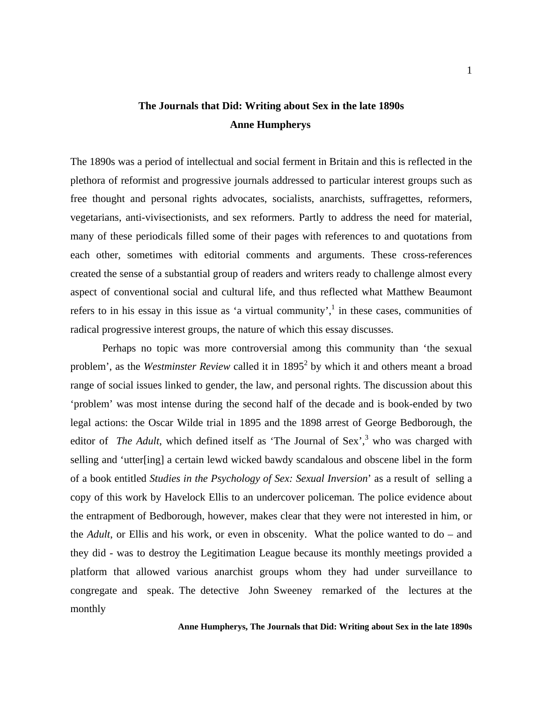## **The Journals that Did: Writing about Sex in the late 1890s Anne Humpherys**

The 1890s was a period of intellectual and social ferment in Britain and this is reflected in the plethora of reformist and progressive journals addressed to particular interest groups such as free thought and personal rights advocates, socialists, anarchists, suffragettes, reformers, vegetarians, anti-vivisectionists, and sex reformers. Partly to address the need for material, many of these periodicals filled some of their pages with references to and quotations from each other, sometimes with editorial comments and arguments. These cross-references created the sense of a substantial group of readers and writers ready to challenge almost every aspect of conventional social and cultural life, and thus reflected what Matthew Beaumont refers to in his essay in this issue as 'a virtual community',<sup>[1](#page-18-0)</sup> in these cases, communities of radical progressive interest groups, the nature of which this essay discusses.

 Perhaps no topic was more controversial among this community than 'the sexual problem', as the *Westminster Review* called it in 1895<sup>2</sup> by which it and others meant a broad range of social issues linked to gender, the law, and personal rights. The discussion about this 'problem' was most intense during the second half of the decade and is book-ended by two legal actions: the Oscar Wilde trial in 1895 and the 1898 arrest of George Bedborough, the editor of *The Adult*, which defined itself as 'The Journal of Sex',  $3$  who was charged with selling and 'utter[ing] a certain lewd wicked bawdy scandalous and obscene libel in the form of a book entitled *Studies in the Psychology of Sex: Sexual Inversion*' as a result of selling a copy of this work by Havelock Ellis to an undercover policeman*.* The police evidence about the entrapment of Bedborough, however, makes clear that they were not interested in him, or the *Adult*, or Ellis and his work, or even in obscenity. What the police wanted to do – and they did - was to destroy the Legitimation League because its monthly meetings provided a platform that allowed various anarchist groups whom they had under surveillance to congregate and speak. The detective John Sweeney remarked of the lectures at the monthly

#### **Anne Humpherys, The Journals that Did: Writing about Sex in the late 1890s**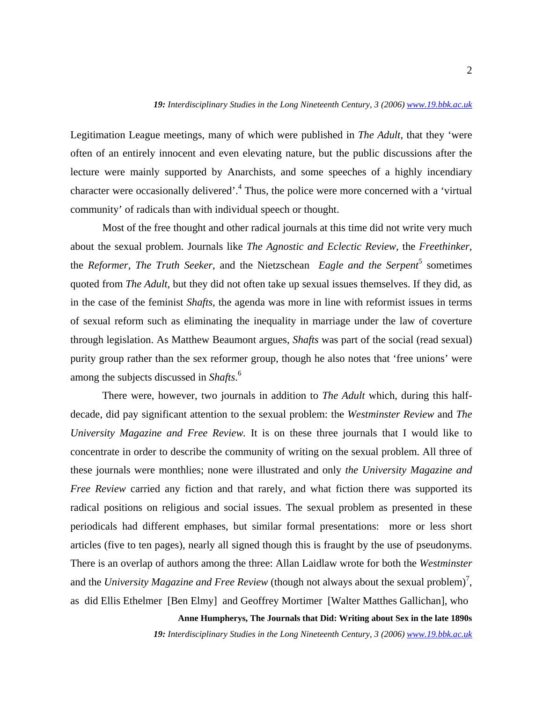Legitimation League meetings, many of which were published in *The Adult*, that they 'were often of an entirely innocent and even elevating nature, but the public discussions after the lecture were mainly supported by Anarchists, and some speeches of a highly incendiary character were occasionally delivered'.<sup>4</sup> Thus, the police were more concerned with a 'virtual community' of radicals than with individual speech or thought.

 Most of the free thought and other radical journals at this time did not write very much about the sexual problem. Journals like *The Agnostic and Eclectic Review*, the *Freethinker*, the*Reformer, The Truth Seeker*, and the Nietzschean *Eagle and the Serpent*<sup>5</sup> sometimes quoted from *The Adult,* but they did not often take up sexual issues themselves. If they did, as in the case of the feminist *Shafts*, the agenda was more in line with reformist issues in terms of sexual reform such as eliminating the inequality in marriage under the law of coverture through legislation. As Matthew Beaumont argues, *Shafts* was part of the social (read sexual) purity group rather than the sex reformer group, though he also notes that 'free unions' were among the subjects discussed in *Shafts*. [6](#page-18-5)

 There were, however, two journals in addition to *The Adult* which, during this halfdecade, did pay significant attention to the sexual problem: the *Westminster Review* and *The University Magazine and Free Review.* It is on these three journals that I would like to concentrate in order to describe the community of writing on the sexual problem. All three of these journals were monthlies; none were illustrated and only *the University Magazine and Free Review* carried any fiction and that rarely, and what fiction there was supported its radical positions on religious and social issues. The sexual problem as presented in these periodicals had different emphases, but similar formal presentations: more or less short articles (five to ten pages), nearly all signed though this is fraught by the use of pseudonyms. There is an overlap of authors among the three: Allan Laidlaw wrote for both the *Westminster* and the *University Magazine and Free Review* (though not always about the sexual problem)<sup>[7](#page-18-6)</sup>, as did Ellis Ethelmer [Ben Elmy] and Geoffrey Mortimer [Walter Matthes Gallichan], who

**Anne Humpherys, The Journals that Did: Writing about Sex in the late 1890s**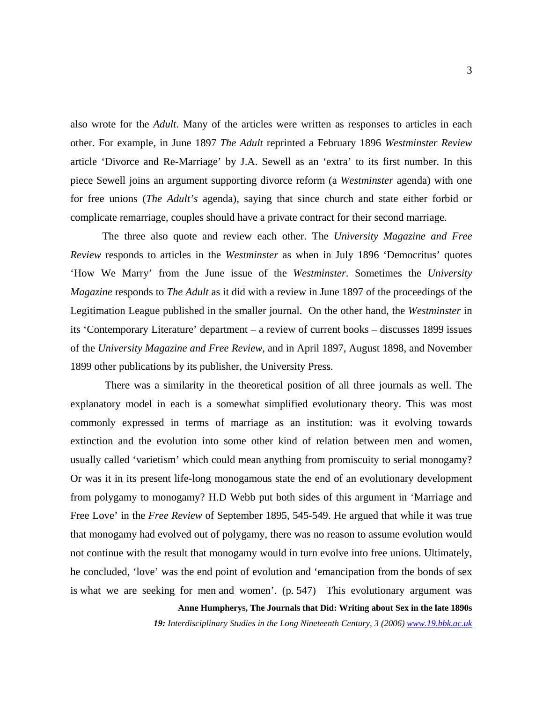also wrote for the *Adult*. Many of the articles were written as responses to articles in each other. For example, in June 1897 *The Adult* reprinted a February 1896 *Westminster Review*  article 'Divorce and Re-Marriage' by J.A. Sewell as an 'extra' to its first number. In this piece Sewell joins an argument supporting divorce reform (a *Westminster* agenda) with one for free unions (*The Adult's* agenda), saying that since church and state either forbid or complicate remarriage, couples should have a private contract for their second marriage*.* 

 The three also quote and review each other. The *University Magazine and Free Review* responds to articles in the *Westminster* as when in July 1896 'Democritus' quotes 'How We Marry' from the June issue of the *Westminster*. Sometimes the *University Magazine* responds to *The Adult* as it did with a review in June 1897 of the proceedings of the Legitimation League published in the smaller journal. On the other hand, the *Westminster* in its 'Contemporary Literature' department – a review of current books – discusses 1899 issues of the *University Magazine and Free Review*, and in April 1897, August 1898, and November 1899 other publications by its publisher, the University Press.

 There was a similarity in the theoretical position of all three journals as well. The explanatory model in each is a somewhat simplified evolutionary theory. This was most commonly expressed in terms of marriage as an institution: was it evolving towards extinction and the evolution into some other kind of relation between men and women, usually called 'varietism' which could mean anything from promiscuity to serial monogamy? Or was it in its present life-long monogamous state the end of an evolutionary development from polygamy to monogamy? H.D Webb put both sides of this argument in 'Marriage and Free Love' in the *Free Review* of September 1895, 545-549. He argued that while it was true that monogamy had evolved out of polygamy, there was no reason to assume evolution would not continue with the result that monogamy would in turn evolve into free unions. Ultimately, he concluded, 'love' was the end point of evolution and 'emancipation from the bonds of sex is what we are seeking for men and women'. (p. 547) This evolutionary argument was

**Anne Humpherys, The Journals that Did: Writing about Sex in the late 1890s**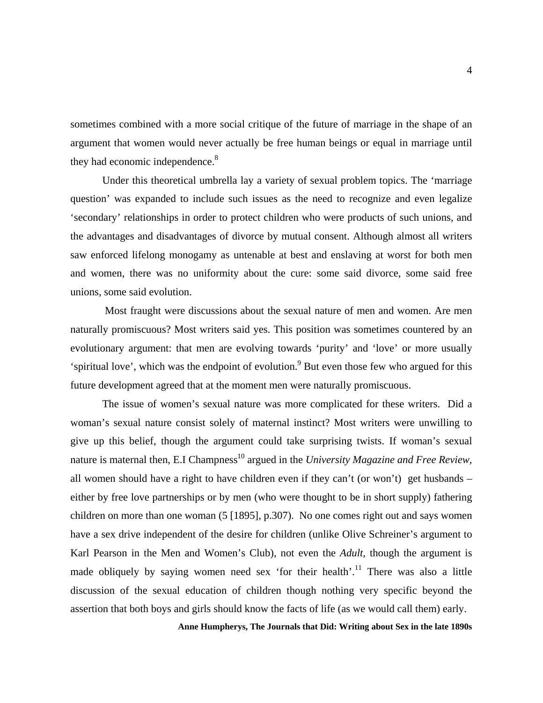sometimes combined with a more social critique of the future of marriage in the shape of an argument that women would never actually be free human beings or equal in marriage until they had economic independence.<sup>8</sup>

Under this theoretical umbrella lay a variety of sexual problem topics. The 'marriage question' was expanded to include such issues as the need to recognize and even legalize 'secondary' relationships in order to protect children who were products of such unions, and the advantages and disadvantages of divorce by mutual consent. Although almost all writers saw enforced lifelong monogamy as untenable at best and enslaving at worst for both men and women, there was no uniformity about the cure: some said divorce, some said free unions, some said evolution.

 Most fraught were discussions about the sexual nature of men and women. Are men naturally promiscuous? Most writers said yes. This position was sometimes countered by an evolutionary argument: that men are evolving towards 'purity' and 'love' or more usually 'spiritual love', which was the endpoint of evolution.<sup>9</sup> But even those few who argued for this future development agreed that at the moment men were naturally promiscuous.

 The issue of women's sexual nature was more complicated for these writers. Did a woman's sexual nature consist solely of maternal instinct? Most writers were unwilling to give up this belief, though the argument could take surprising twists. If woman's sexual nature is maternal then, E.I Champness<sup>10</sup> argued in the *University Magazine and Free Review*, all women should have a right to have children even if they can't (or won't) get husbands – either by free love partnerships or by men (who were thought to be in short supply) fathering children on more than one woman (5 [1895], p.307). No one comes right out and says women have a sex drive independent of the desire for children (unlike Olive Schreiner's argument to Karl Pearson in the Men and Women's Club), not even the *Adult*, though the argument is made obliquely by saying women need sex 'for their health'.<sup>11</sup> There was also a little discussion of the sexual education of children though nothing very specific beyond the assertion that both boys and girls should know the facts of life (as we would call them) early.

**Anne Humpherys, The Journals that Did: Writing about Sex in the late 1890s**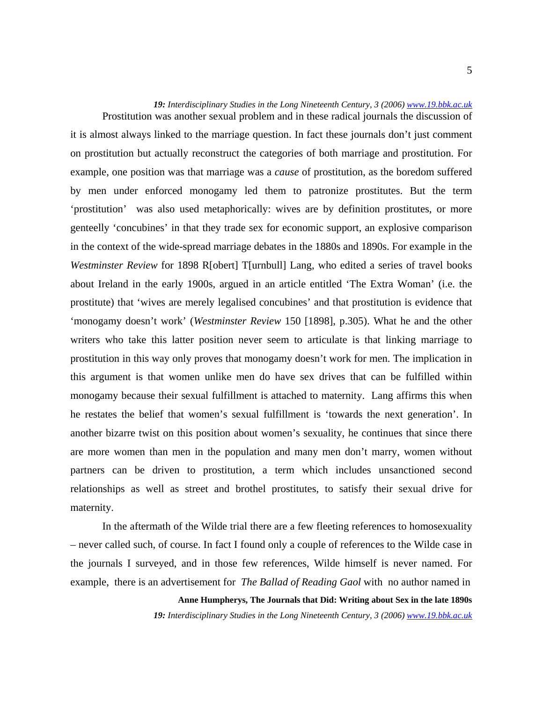19: Interdisciplinary Studies in the Long Nineteenth Century, 3 (2006) *[www.19.bbk.ac.uk](http://www.19.bbk.ac.uk/)*  Prostitution was another sexual problem and in these radical journals the discussion of it is almost always linked to the marriage question. In fact these journals don't just comment on prostitution but actually reconstruct the categories of both marriage and prostitution. For example, one position was that marriage was a *cause* of prostitution, as the boredom suffered by men under enforced monogamy led them to patronize prostitutes. But the term 'prostitution' was also used metaphorically: wives are by definition prostitutes, or more genteelly 'concubines' in that they trade sex for economic support, an explosive comparison in the context of the wide-spread marriage debates in the 1880s and 1890s. For example in the *Westminster Review* for 1898 R[obert] T[urnbull] Lang, who edited a series of travel books about Ireland in the early 1900s, argued in an article entitled 'The Extra Woman' (i.e. the prostitute) that 'wives are merely legalised concubines' and that prostitution is evidence that 'monogamy doesn't work' (*Westminster Review* 150 [1898], p.305). What he and the other writers who take this latter position never seem to articulate is that linking marriage to prostitution in this way only proves that monogamy doesn't work for men. The implication in this argument is that women unlike men do have sex drives that can be fulfilled within monogamy because their sexual fulfillment is attached to maternity. Lang affirms this when he restates the belief that women's sexual fulfillment is 'towards the next generation'. In another bizarre twist on this position about women's sexuality, he continues that since there are more women than men in the population and many men don't marry, women without partners can be driven to prostitution, a term which includes unsanctioned second relationships as well as street and brothel prostitutes, to satisfy their sexual drive for maternity.

 In the aftermath of the Wilde trial there are a few fleeting references to homosexuality – never called such, of course. In fact I found only a couple of references to the Wilde case in the journals I surveyed, and in those few references, Wilde himself is never named. For example, there is an advertisement for *The Ballad of Reading Gaol* with no author named in

**Anne Humpherys, The Journals that Did: Writing about Sex in the late 1890s** 

**19:** *Interdisciplinary Studies in the Long Nineteenth Century, 3 (2006) [www.19.bbk.ac.uk](http://www.19.bbk.ac.uk/)*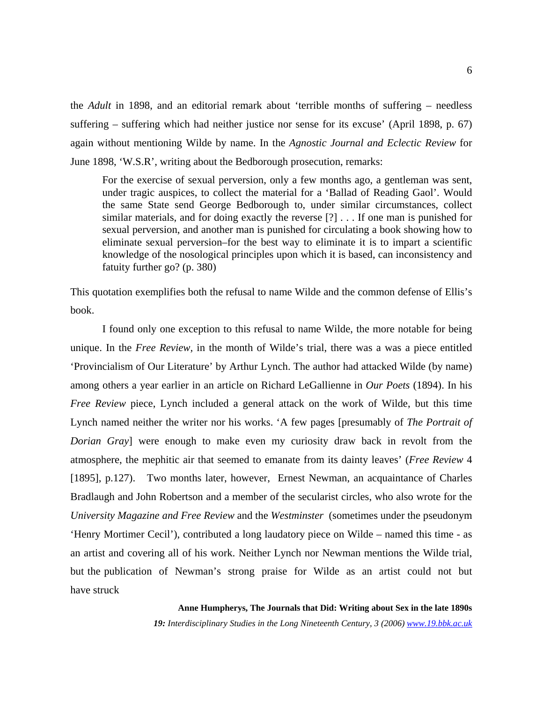the *Adult* in 1898, and an editorial remark about 'terrible months of suffering – needless suffering – suffering which had neither justice nor sense for its excuse' (April 1898, p. 67) again without mentioning Wilde by name. In the *Agnostic Journal and Eclectic Review* for June 1898, 'W.S.R', writing about the Bedborough prosecution, remarks:

 For the exercise of sexual perversion, only a few months ago, a gentleman was sent, under tragic auspices, to collect the material for a 'Ballad of Reading Gaol'. Would the same State send George Bedborough to, under similar circumstances, collect similar materials, and for doing exactly the reverse [?] . . . If one man is punished for sexual perversion, and another man is punished for circulating a book showing how to eliminate sexual perversion–for the best way to eliminate it is to impart a scientific knowledge of the nosological principles upon which it is based, can inconsistency and fatuity further go? (p. 380)

This quotation exemplifies both the refusal to name Wilde and the common defense of Ellis's book.

 I found only one exception to this refusal to name Wilde, the more notable for being unique. In the *Free Review,* in the month of Wilde's trial, there was a was a piece entitled 'Provincialism of Our Literature' by Arthur Lynch. The author had attacked Wilde (by name) among others a year earlier in an article on Richard LeGallienne in *Our Poets* (1894). In his *Free Review* piece, Lynch included a general attack on the work of Wilde, but this time Lynch named neither the writer nor his works. 'A few pages [presumably of *The Portrait of Dorian Gray*] were enough to make even my curiosity draw back in revolt from the atmosphere, the mephitic air that seemed to emanate from its dainty leaves' (*Free Review* 4 [1895], p.127). Two months later, however, Ernest Newman, an acquaintance of Charles Bradlaugh and John Robertson and a member of the secularist circles, who also wrote for the *University Magazine and Free Review* and the *Westminster* (sometimes under the pseudonym 'Henry Mortimer Cecil'), contributed a long laudatory piece on Wilde – named this time - as an artist and covering all of his work. Neither Lynch nor Newman mentions the Wilde trial, but the publication of Newman's strong praise for Wilde as an artist could not but have struck

**Anne Humpherys, The Journals that Did: Writing about Sex in the late 1890s**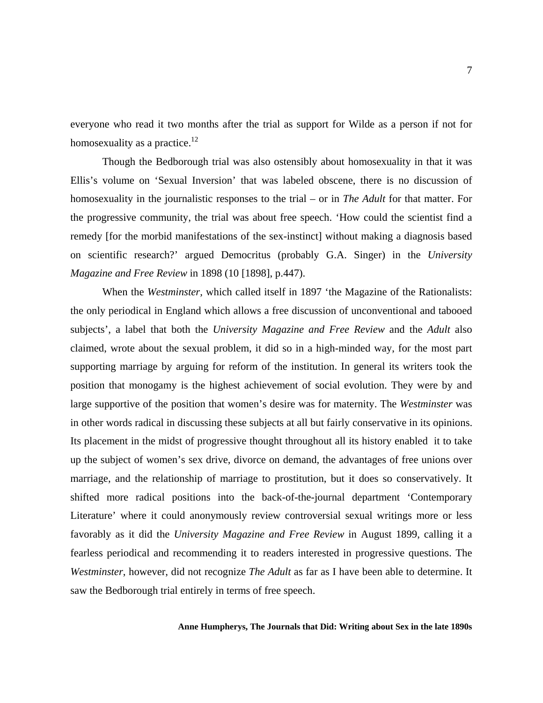everyone who read it two months after the trial as support for Wilde as a person if not for homosexuality as a practice. $12$ 

 Though the Bedborough trial was also ostensibly about homosexuality in that it was Ellis's volume on 'Sexual Inversion' that was labeled obscene, there is no discussion of homosexuality in the journalistic responses to the trial – or in *The Adult* for that matter. For the progressive community, the trial was about free speech. 'How could the scientist find a remedy [for the morbid manifestations of the sex-instinct] without making a diagnosis based on scientific research?' argued Democritus (probably G.A. Singer) in the *University Magazine and Free Review* in 1898 (10 [1898], p.447).

 When the *Westminster,* which called itself in 1897 'the Magazine of the Rationalists: the only periodical in England which allows a free discussion of unconventional and tabooed subjects', a label that both the *University Magazine and Free Review* and the *Adult* also claimed, wrote about the sexual problem, it did so in a high-minded way, for the most part supporting marriage by arguing for reform of the institution. In general its writers took the position that monogamy is the highest achievement of social evolution. They were by and large supportive of the position that women's desire was for maternity. The *Westminster* was in other words radical in discussing these subjects at all but fairly conservative in its opinions. Its placement in the midst of progressive thought throughout all its history enabled it to take up the subject of women's sex drive, divorce on demand, the advantages of free unions over marriage, and the relationship of marriage to prostitution, but it does so conservatively. It shifted more radical positions into the back-of-the-journal department 'Contemporary Literature' where it could anonymously review controversial sexual writings more or less favorably as it did the *University Magazine and Free Review* in August 1899, calling it a fearless periodical and recommending it to readers interested in progressive questions. The *Westminster*, however, did not recognize *The Adult* as far as I have been able to determine. It saw the Bedborough trial entirely in terms of free speech.

#### **Anne Humpherys, The Journals that Did: Writing about Sex in the late 1890s**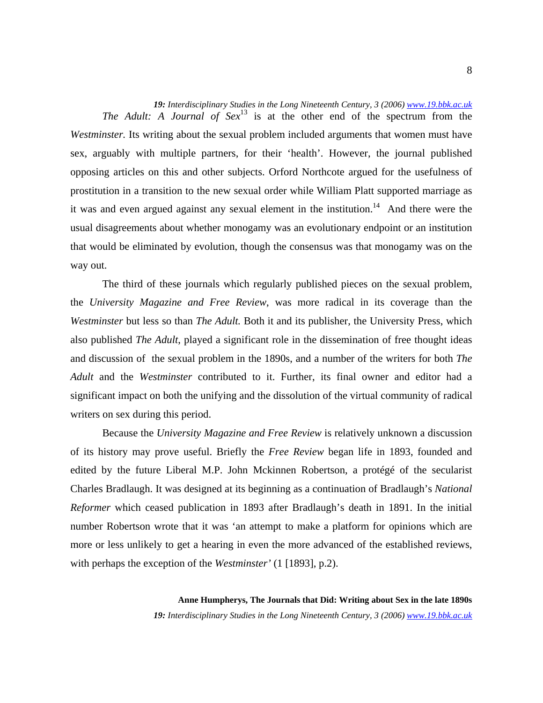*19: Interdisciplinary Studies in the Long Nineteenth Century, 3 (2006) [www.19.bbk.ac.uk](http://www.19.bbk.ac.uk/) The Adult: A Journal of Sex*<sup>13</sup> is at the other end of the spectrum from the *Westminster.* Its writing about the sexual problem included arguments that women must have sex, arguably with multiple partners, for their 'health'. However, the journal published opposing articles on this and other subjects. Orford Northcote argued for the usefulness of prostitution in a transition to the new sexual order while William Platt supported marriage as it was and even argued against any sexual element in the institution.<sup>14</sup> And there were the usual disagreements about whether monogamy was an evolutionary endpoint or an institution that would be eliminated by evolution, though the consensus was that monogamy was on the way out.

 The third of these journals which regularly published pieces on the sexual problem, the *University Magazine and Free Review*, was more radical in its coverage than the *Westminster* but less so than *The Adult.* Both it and its publisher, the University Press, which also published *The Adult*, played a significant role in the dissemination of free thought ideas and discussion of the sexual problem in the 1890s, and a number of the writers for both *The Adult* and the *Westminster* contributed to it. Further, its final owner and editor had a significant impact on both the unifying and the dissolution of the virtual community of radical writers on sex during this period.

 Because the *University Magazine and Free Review* is relatively unknown a discussion of its history may prove useful. Briefly the *Free Review* began life in 1893, founded and edited by the future Liberal M.P. John Mckinnen Robertson, a protégé of the secularist Charles Bradlaugh. It was designed at its beginning as a continuation of Bradlaugh's *National Reformer* which ceased publication in 1893 after Bradlaugh's death in 1891. In the initial number Robertson wrote that it was 'an attempt to make a platform for opinions which are more or less unlikely to get a hearing in even the more advanced of the established reviews, with perhaps the exception of the *Westminster'* (1 [1893], p.2).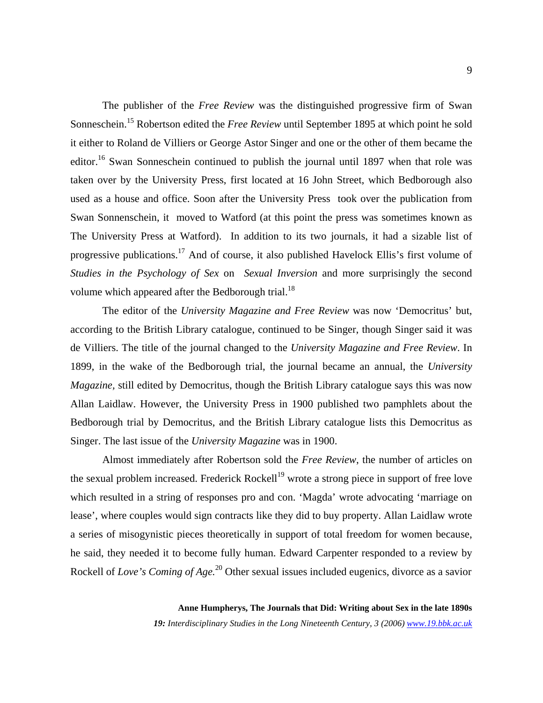The publisher of the *Free Review* was the distinguished progressive firm of Swan Sonneschein.<sup>15</sup> Robertson edited the *Free Review* until September 1895 at which point he sold it either to Roland de Villiers or George Astor Singer and one or the other of them became the editor.<sup>16</sup> Swan Sonneschein continued to publish the journal until 1897 when that role was taken over by the University Press, first located at 16 John Street, which Bedborough also used as a house and office. Soon after the University Press took over the publication from Swan Sonnenschein, it moved to Watford (at this point the press was sometimes known as The University Press at Watford). In addition to its two journals, it had a sizable list of progressive publications.<sup>17</sup> And of course, it also published Havelock Ellis's first volume of *Studies in the Psychology of Sex* on *Sexual Inversion* and more surprisingly the second volume which appeared after the Bedborough trial.<sup>1[8](#page-18-17)</sup>

 The editor of the *University Magazine and Free Review* was now 'Democritus' but, according to the British Library catalogue, continued to be Singer, though Singer said it was de Villiers. The title of the journal changed to the *University Magazine and Free Review*. In 1899, in the wake of the Bedborough trial, the journal became an annual, the *University Magazine,* still edited by Democritus, though the British Library catalogue says this was now Allan Laidlaw. However, the University Press in 1900 published two pamphlets about the Bedborough trial by Democritus, and the British Library catalogue lists this Democritus as Singer. The last issue of the *University Magazine* was in 1900.

 Almost immediately after Robertson sold the *Free Review*, the number of articles on the sexual problem increased. Frederick Rockell<sup>19</sup> wrote a strong piece in support of free love which resulted in a string of responses pro and con. 'Magda' wrote advocating 'marriage on lease', where couples would sign contracts like they did to buy property. Allan Laidlaw wrote a series of misogynistic pieces theoretically in support of total freedom for women because, he said, they needed it to become fully human. Edward Carpenter responded to a review by Rockell of *Love's Coming of Age.*2[0 O](#page-18-18)ther sexual issues included eugenics, divorce as a savior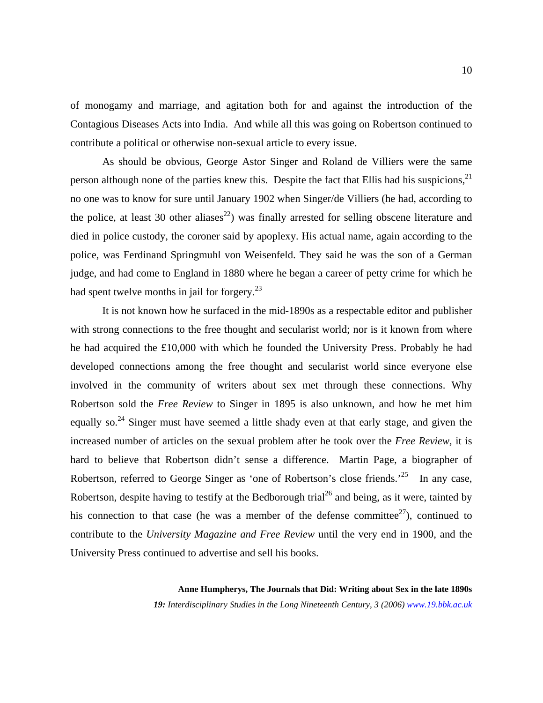of monogamy and marriage, and agitation both for and against the introduction of the Contagious Diseases Acts into India. And while all this was going on Robertson continued to contribute a political or otherwise non-sexual article to every issue.

 As should be obvious, George Astor Singer and Roland de Villiers were the same person although none of the parties knew this. Despite the fact that Ellis had his suspicions,<sup>2[1](#page-18-19)</sup> no one was to know for sure until January 1902 when Singer/de Villiers (he had, according to the police, at least 30 other aliases<sup>22</sup>) was finally arrested for selling obscene literature and died in police custody, the coroner said by apoplexy. His actual name, again according to the police, was Ferdinand Springmuhl von Weisenfeld. They said he was the son of a German judge, and had come to England in 1880 where he began a career of petty crime for which he had spent twelve months in jail for forgery.<sup>2[3](#page-18-21)</sup>

 It is not known how he surfaced in the mid-1890s as a respectable editor and publisher with strong connections to the free thought and secularist world; nor is it known from where he had acquired the £10,000 with which he founded the University Press. Probably he had developed connections among the free thought and secularist world since everyone else involved in the community of writers about sex met through these connections. Why Robertson sold the *Free Review* to Singer in 1895 is also unknown, and how he met him equally so.<sup>24</sup> Singer must have seemed a little shady even at that early stage, and given the increased number of articles on the sexual problem after he took over the *Free Review,* it is hard to believe that Robertson didn't sense a difference. Martin Page, a biographer of Robertson, referred to George Singer as 'one of Robertson's close friends.<sup>25</sup> In any case, Robertson, despite having to testify at the Bedborough trial<sup>26</sup> and being, as it were, tainted by his connection to that case (he was a member of the defense committee<sup>27</sup>), continued to contribute to the *University Magazine and Free Review* until the very end in 1900, and the University Press continued to advertise and sell his books.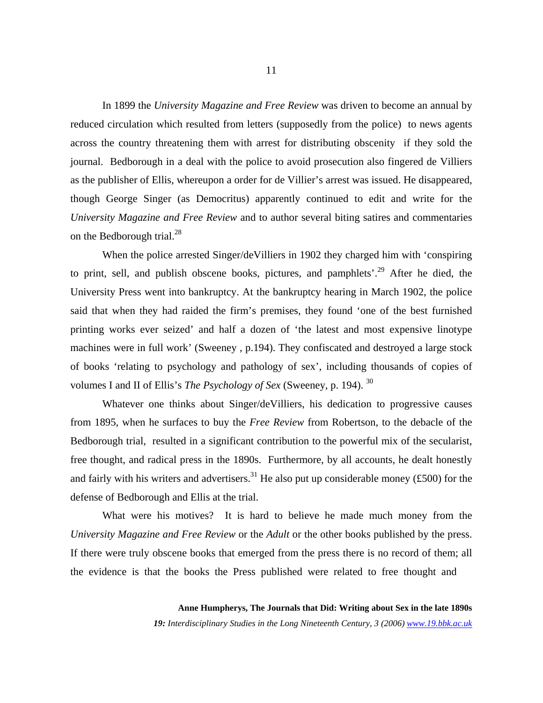In 1899 the *University Magazine and Free Review* was driven to become an annual by reduced circulation which resulted from letters (supposedly from the police) to news agents across the country threatening them with arrest for distributing obscenity if they sold the journal. Bedborough in a deal with the police to avoid prosecution also fingered de Villiers as the publisher of Ellis, whereupon a order for de Villier's arrest was issued. He disappeared, though George Singer (as Democritus) apparently continued to edit and write for the *University Magazine and Free Review* and to author several biting satires and commentaries on the Bedborough trial.<sup>28</sup>

When the police arrested Singer/deVilliers in 1902 they charged him with 'conspiring to print, sell, and publish obscene books, pictures, and pamphlets'.<sup>29</sup> After he died, the University Press went into bankruptcy. At the bankruptcy hearing in March 1902, the police said that when they had raided the firm's premises, they found 'one of the best furnished printing works ever seized' and half a dozen of 'the latest and most expensive linotype machines were in full work' (Sweeney , p.194). They confiscated and destroyed a large stock of books 'relating to psychology and pathology of sex', including thousands of copies of volumes I and II of Ellis's *The Psychology of Sex* (Sweeney, p. 194). 3[0](#page-18-26)

 Whatever one thinks about Singer/deVilliers, his dedication to progressive causes from 1895, when he surfaces to buy the *Free Review* from Robertson, to the debacle of the Bedborough trial, resulted in a significant contribution to the powerful mix of the secularist, free thought, and radical press in the 1890s. Furthermore, by all accounts, he dealt honestly and fairly with his writers and advertisers.<sup>31</sup> He also put up considerable money (£500) for the defense of Bedborough and Ellis at the trial.

 What were his motives? It is hard to believe he made much money from the *University Magazine and Free Review* or the *Adult* or the other books published by the press. If there were truly obscene books that emerged from the press there is no record of them; all the evidence is that the books the Press published were related to free thought and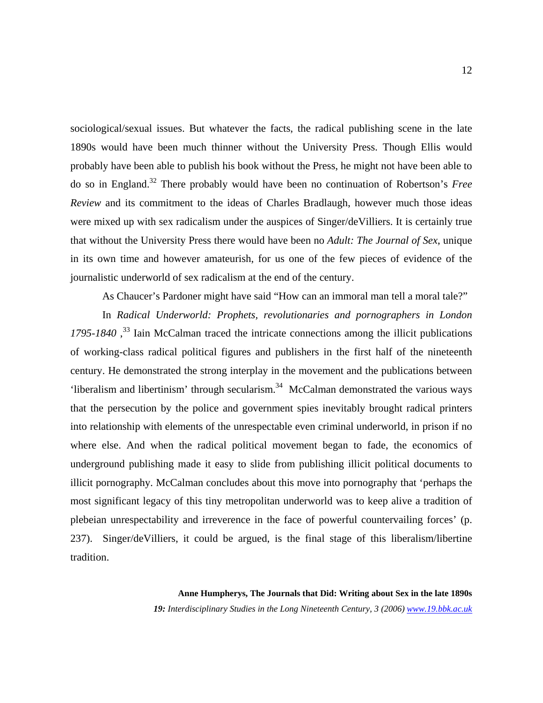sociological/sexual issues. But whatever the facts, the radical publishing scene in the late 1890s would have been much thinner without the University Press. Though Ellis would probably have been able to publish his book without the Press, he might not have been able to do so in England.3[2](#page-18-27) There probably would have been no continuation of Robertson's *Free Review* and its commitment to the ideas of Charles Bradlaugh, however much those ideas were mixed up with sex radicalism under the auspices of Singer/deVilliers. It is certainly true that without the University Press there would have been no *Adult: The Journal of Sex*, unique in its own time and however amateurish, for us one of the few pieces of evidence of the journalistic underworld of sex radicalism at the end of the century.

As Chaucer's Pardoner might have said "How can an immoral man tell a moral tale?"

 In *Radical Underworld: Prophets, revolutionaries and pornographers in London*  1795-1840<sup>33</sup> Iain McCalman traced the intricate connections among the illicit publications of working-class radical political figures and publishers in the first half of the nineteenth century. He demonstrated the strong interplay in the movement and the publications between 'liberalism and libertinism' through secularism.3[4](#page-18-29) McCalman demonstrated the various ways that the persecution by the police and government spies inevitably brought radical printers into relationship with elements of the unrespectable even criminal underworld, in prison if no where else. And when the radical political movement began to fade, the economics of underground publishing made it easy to slide from publishing illicit political documents to illicit pornography. McCalman concludes about this move into pornography that 'perhaps the most significant legacy of this tiny metropolitan underworld was to keep alive a tradition of plebeian unrespectability and irreverence in the face of powerful countervailing forces' (p. 237). Singer/deVilliers, it could be argued, is the final stage of this liberalism/libertine tradition.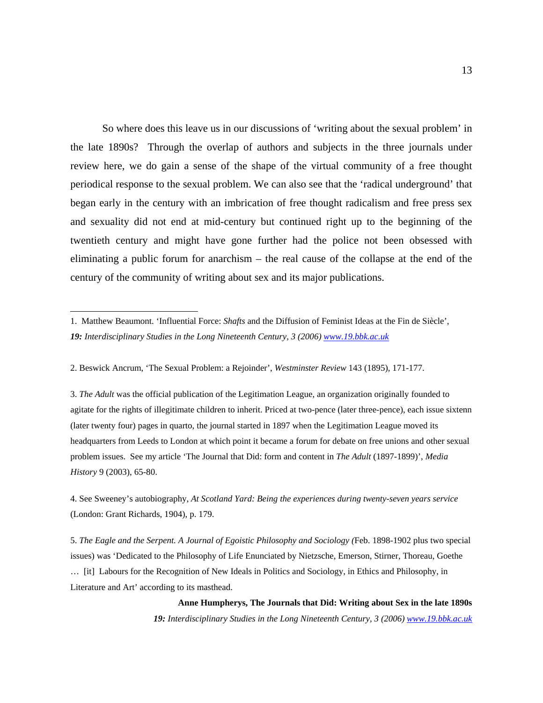So where does this leave us in our discussions of 'writing about the sexual problem' in the late 1890s? Through the overlap of authors and subjects in the three journals under review here, we do gain a sense of the shape of the virtual community of a free thought periodical response to the sexual problem. We can also see that the 'radical underground' that began early in the century with an imbrication of free thought radicalism and free press sex and sexuality did not end at mid-century but continued right up to the beginning of the twentieth century and might have gone further had the police not been obsessed with eliminating a public forum for anarchism – the real cause of the collapse at the end of the century of the community of writing about sex and its major publications.

2. Beswick Ancrum, 'The Sexual Problem: a Rejoinder', *Westminster Review* 143 (1895), 171-177.

l

3. *The Adult* was the official publication of the Legitimation League, an organization originally founded to agitate for the rights of illegitimate children to inherit. Priced at two-pence (later three-pence), each issue sixtenn (later twenty four) pages in quarto, the journal started in 1897 when the Legitimation League moved its headquarters from Leeds to London at which point it became a forum for debate on free unions and other sexual problem issues. See my article 'The Journal that Did: form and content in *The Adult* (1897-1899)', *Media History* 9 (2003), 65-80.

4. See Sweeney's autobiography, *At Scotland Yard: Being the experiences during twenty-seven years service*  (London: Grant Richards, 1904), p. 179.

5. *The Eagle and the Serpent. A Journal of Egoistic Philosophy and Sociology (*Feb. 1898-1902 plus two special issues) was 'Dedicated to the Philosophy of Life Enunciated by Nietzsche, Emerson, Stirner, Thoreau, Goethe … [it] Labours for the Recognition of New Ideals in Politics and Sociology, in Ethics and Philosophy, in Literature and Art' according to its masthead.

### **Anne Humpherys, The Journals that Did: Writing about Sex in the late 1890s**

<sup>1.</sup> Matthew Beaumont. 'Influential Force: *Shafts* and the Diffusion of Feminist Ideas at the Fin de Siècle', *19: Interdisciplinary Studies in the Long Nineteenth Century, 3 (2006) [www.19.bbk.ac.uk](http://www.19.bbk.ac.uk/)*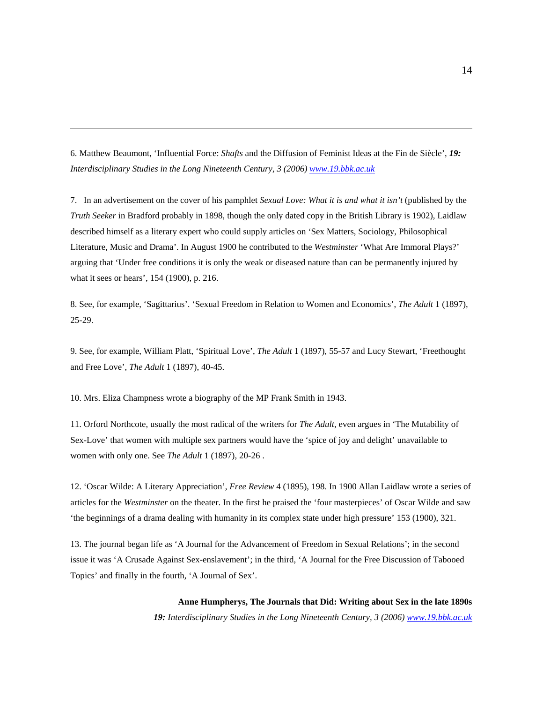6. Matthew Beaumont, 'Influential Force: *Shafts* and the Diffusion of Feminist Ideas at the Fin de Siècle', *19: Interdisciplinary Studies in the Long Nineteenth Century, 3 (2006) [www.19.bbk.ac.uk](http://www.19.bbk.ac.uk/)*

7. In an advertisement on the cover of his pamphlet *Sexual Love: What it is and what it isn't* (published by the *Truth Seeker* in Bradford probably in 1898, though the only dated copy in the British Library is 1902), Laidlaw described himself as a literary expert who could supply articles on 'Sex Matters, Sociology, Philosophical Literature, Music and Drama'. In August 1900 he contributed to the *Westminster* 'What Are Immoral Plays?' arguing that 'Under free conditions it is only the weak or diseased nature than can be permanently injured by what it sees or hears', 154 (1900), p. 216.

8. See, for example, 'Sagittarius'. 'Sexual Freedom in Relation to Women and Economics', *The Adult* 1 (1897), 25-29.

9. See, for example, William Platt, 'Spiritual Love', *The Adult* 1 (1897), 55-57 and Lucy Stewart, 'Freethought and Free Love', *The Adult* 1 (1897), 40-45.

10. Mrs. Eliza Champness wrote a biography of the MP Frank Smith in 1943.

l

11. Orford Northcote, usually the most radical of the writers for *The Adult*, even argues in 'The Mutability of Sex-Love' that women with multiple sex partners would have the 'spice of joy and delight' unavailable to women with only one. See *The Adult* 1 (1897), 20-26 .

12. 'Oscar Wilde: A Literary Appreciation', *Free Review* 4 (1895), 198. In 1900 Allan Laidlaw wrote a series of articles for the *Westminster* on the theater. In the first he praised the 'four masterpieces' of Oscar Wilde and saw 'the beginnings of a drama dealing with humanity in its complex state under high pressure' 153 (1900), 321.

13. The journal began life as 'A Journal for the Advancement of Freedom in Sexual Relations'; in the second issue it was 'A Crusade Against Sex-enslavement'; in the third, 'A Journal for the Free Discussion of Tabooed Topics' and finally in the fourth, 'A Journal of Sex'.

# **Anne Humpherys, The Journals that Did: Writing about Sex in the late 1890s**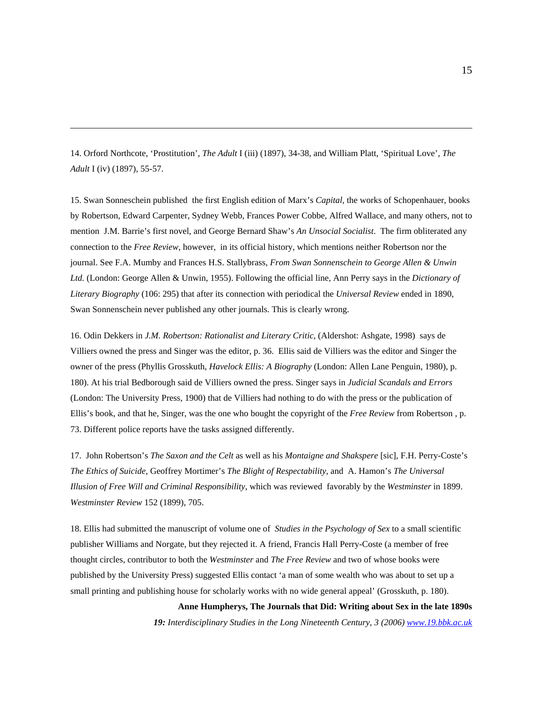14. Orford Northcote, 'Prostitution', *The Adult* I (iii) (1897), 34-38, and William Platt, 'Spiritual Love', *The Adult* I (iv) (1897), 55-57.

l

15. Swan Sonneschein published the first English edition of Marx's *Capital*, the works of Schopenhauer, books by Robertson, Edward Carpenter, Sydney Webb, Frances Power Cobbe, Alfred Wallace, and many others, not to mention J.M. Barrie's first novel, and George Bernard Shaw's *An Unsocial Socialist*. The firm obliterated any connection to the *Free Review*, however, in its official history, which mentions neither Robertson nor the journal. See F.A. Mumby and Frances H.S. Stallybrass, *From Swan Sonnenschein to George Allen & Unwin Ltd.* (London: George Allen & Unwin, 1955). Following the official line, Ann Perry says in the *Dictionary of Literary Biography* (106: 295) that after its connection with periodical the *Universal Review* ended in 1890, Swan Sonnenschein never published any other journals. This is clearly wrong.

16. Odin Dekkers in *J.M. Robertson: Rationalist and Literary Critic,* (Aldershot: Ashgate, 1998) says de Villiers owned the press and Singer was the editor, p. 36. Ellis said de Villiers was the editor and Singer the owner of the press (Phyllis Grosskuth, *Havelock Ellis: A Biography* (London: Allen Lane Penguin, 1980), p. 180). At his trial Bedborough said de Villiers owned the press. Singer says in *Judicial Scandals and Errors*  (London: The University Press, 1900) that de Villiers had nothing to do with the press or the publication of Ellis's book, and that he, Singer, was the one who bought the copyright of the *Free Review* from Robertson , p. 73. Different police reports have the tasks assigned differently.

17. John Robertson's *The Saxon and the Celt* as well as his *Montaigne and Shakspere* [sic], F.H. Perry-Coste's *The Ethics of Suicide*, Geoffrey Mortimer's *The Blight of Respectability,* and A. Hamon's *The Universal Illusion of Free Will and Criminal Responsibility*, which was reviewed favorably by the *Westminster* in 1899. *Westminster Review* 152 (1899), 705.

18. Ellis had submitted the manuscript of volume one of *Studies in the Psychology of Sex* to a small scientific publisher Williams and Norgate, but they rejected it. A friend, Francis Hall Perry-Coste (a member of free thought circles, contributor to both the *Westminster* and *The Free Review* and two of whose books were published by the University Press) suggested Ellis contact 'a man of some wealth who was about to set up a small printing and publishing house for scholarly works with no wide general appeal' (Grosskuth, p. 180).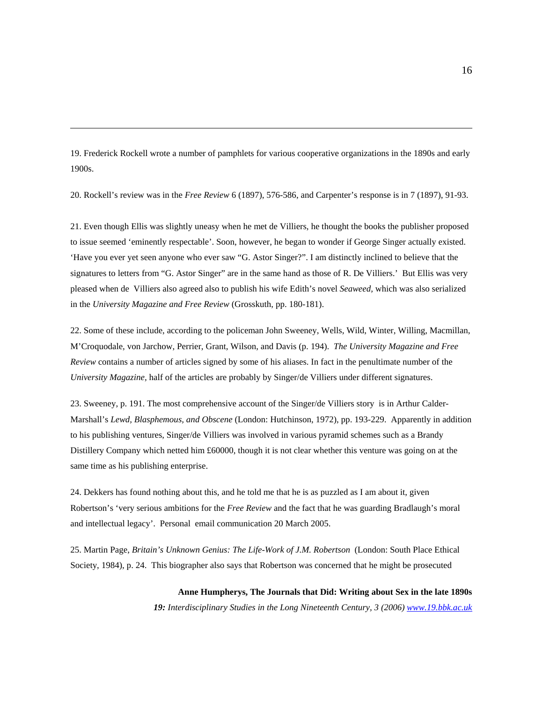19. Frederick Rockell wrote a number of pamphlets for various cooperative organizations in the 1890s and early 1900s.

l

20. Rockell's review was in the *Free Review* 6 (1897), 576-586, and Carpenter's response is in 7 (1897), 91-93.

21. Even though Ellis was slightly uneasy when he met de Villiers, he thought the books the publisher proposed to issue seemed 'eminently respectable'. Soon, however, he began to wonder if George Singer actually existed. 'Have you ever yet seen anyone who ever saw "G. Astor Singer?". I am distinctly inclined to believe that the signatures to letters from "G. Astor Singer" are in the same hand as those of R. De Villiers.' But Ellis was very pleased when de Villiers also agreed also to publish his wife Edith's novel *Seaweed,* which was also serialized in the *University Magazine and Free Review* (Grosskuth, pp. 180-181).

22. Some of these include, according to the policeman John Sweeney, Wells, Wild, Winter, Willing, Macmillan, M'Croquodale, von Jarchow, Perrier, Grant, Wilson, and Davis (p. 194). *The University Magazine and Free Review* contains a number of articles signed by some of his aliases. In fact in the penultimate number of the *University Magazine,* half of the articles are probably by Singer/de Villiers under different signatures.

23. Sweeney, p. 191. The most comprehensive account of the Singer/de Villiers story is in Arthur Calder-Marshall's *Lewd, Blasphemous, and Obscene* (London: Hutchinson, 1972), pp. 193-229. Apparently in addition to his publishing ventures, Singer/de Villiers was involved in various pyramid schemes such as a Brandy Distillery Company which netted him £60000, though it is not clear whether this venture was going on at the same time as his publishing enterprise.

24. Dekkers has found nothing about this, and he told me that he is as puzzled as I am about it, given Robertson's 'very serious ambitions for the *Free Review* and the fact that he was guarding Bradlaugh's moral and intellectual legacy'. Personal email communication 20 March 2005.

25. Martin Page, *Britain's Unknown Genius: The Life-Work of J.M. Robertson* (London: South Place Ethical Society, 1984), p. 24. This biographer also says that Robertson was concerned that he might be prosecuted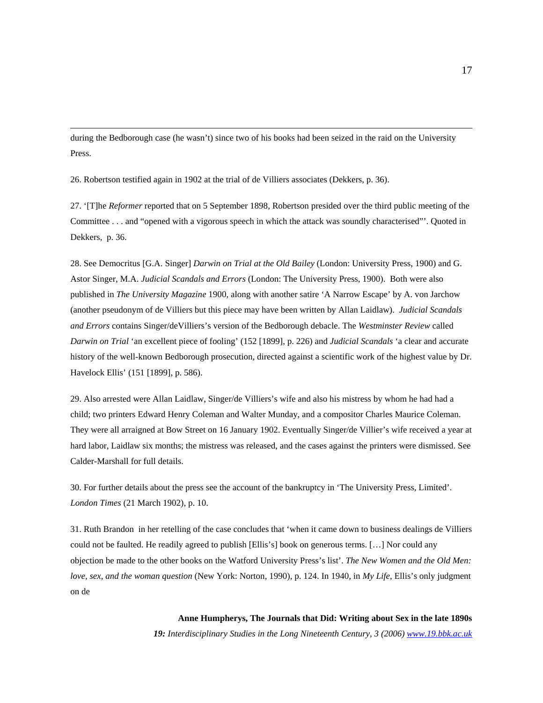during the Bedborough case (he wasn't) since two of his books had been seized in the raid on the University Press.

26. Robertson testified again in 1902 at the trial of de Villiers associates (Dekkers, p. 36).

l

27. '[T]he *Reformer* reported that on 5 September 1898, Robertson presided over the third public meeting of the Committee . . . and "opened with a vigorous speech in which the attack was soundly characterised"'. Quoted in Dekkers, p. 36.

28. See Democritus [G.A. Singer] *Darwin on Trial at the Old Bailey* (London: University Press, 1900) and G. Astor Singer, M.A. *Judicial Scandals and Errors* (London: The University Press, 1900). Both were also published in *The University Magazine* 1900, along with another satire 'A Narrow Escape' by A. von Jarchow (another pseudonym of de Villiers but this piece may have been written by Allan Laidlaw). *Judicial Scandals and Errors* contains Singer/deVilliers's version of the Bedborough debacle. The *Westminster Review* called *Darwin on Trial* 'an excellent piece of fooling' (152 [1899], p. 226) and *Judicial Scandals* 'a clear and accurate history of the well-known Bedborough prosecution, directed against a scientific work of the highest value by Dr. Havelock Ellis' (151 [1899], p. 586).

29. Also arrested were Allan Laidlaw, Singer/de Villiers's wife and also his mistress by whom he had had a child; two printers Edward Henry Coleman and Walter Munday, and a compositor Charles Maurice Coleman. They were all arraigned at Bow Street on 16 January 1902. Eventually Singer/de Villier's wife received a year at hard labor, Laidlaw six months; the mistress was released, and the cases against the printers were dismissed. See Calder-Marshall for full details.

30. For further details about the press see the account of the bankruptcy in 'The University Press, Limited'. *London Times* (21 March 1902), p. 10.

31. Ruth Brandon in her retelling of the case concludes that 'when it came down to business dealings de Villiers could not be faulted. He readily agreed to publish [Ellis's] book on generous terms. […] Nor could any objection be made to the other books on the Watford University Press's list'. *The New Women and the Old Men: love, sex, and the woman question* (New York: Norton, 1990), p. 124. In 1940, in *My Life,* Ellis's only judgment on de

**Anne Humpherys, The Journals that Did: Writing about Sex in the late 1890s**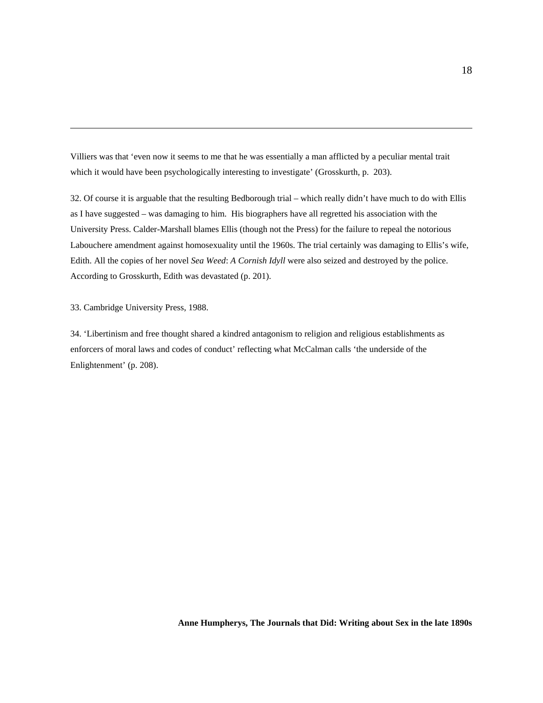Villiers was that 'even now it seems to me that he was essentially a man afflicted by a peculiar mental trait which it would have been psychologically interesting to investigate' (Grosskurth, p. 203).

32. Of course it is arguable that the resulting Bedborough trial – which really didn't have much to do with Ellis as I have suggested – was damaging to him. His biographers have all regretted his association with the University Press. Calder-Marshall blames Ellis (though not the Press) for the failure to repeal the notorious Labouchere amendment against homosexuality until the 1960s. The trial certainly was damaging to Ellis's wife, Edith. All the copies of her novel *Sea Weed*: *A Cornish Idyll* were also seized and destroyed by the police. According to Grosskurth, Edith was devastated (p. 201).

33. Cambridge University Press, 1988.

l

34. 'Libertinism and free thought shared a kindred antagonism to religion and religious establishments as enforcers of moral laws and codes of conduct' reflecting what McCalman calls 'the underside of the Enlightenment' (p. 208).